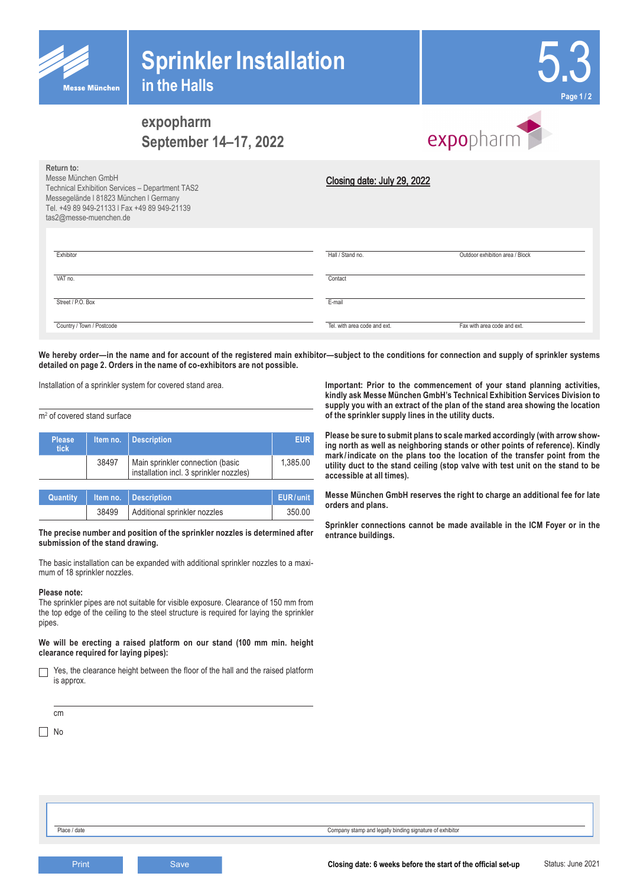



# **expopharm September 14–17, 2022**



| Return to:<br>Messe München GmbH<br>Technical Exhibition Services - Department TAS2<br>Messegelände I 81823 München I Germany<br>Tel. +49 89 949-21133   Fax +49 89 949-21139<br>tas2@messe-muenchen.de | Closing date: July 29, 2022  |                                 |
|---------------------------------------------------------------------------------------------------------------------------------------------------------------------------------------------------------|------------------------------|---------------------------------|
| Exhibitor                                                                                                                                                                                               | Hall / Stand no.             | Outdoor exhibition area / Block |
| VAT no.                                                                                                                                                                                                 | Contact                      |                                 |
| Street / P.O. Box                                                                                                                                                                                       | E-mail                       |                                 |
| Country / Town / Postcode                                                                                                                                                                               | Tel. with area code and ext. | Fax with area code and ext.     |

We hereby order—in the name and for account of the registered main exhibitor—subject to the conditions for connection and supply of sprinkler systems **detailed on page 2. Orders in the name of co-exhibitors are not possible.**

Installation of a sprinkler system for covered stand area.

#### m2 of covered stand surface

| <b>Please</b><br><b>tick</b> | Item no. | <b>Description</b>                                                          | <b>EUR</b> |
|------------------------------|----------|-----------------------------------------------------------------------------|------------|
|                              | 38497    | Main sprinkler connection (basic<br>installation incl. 3 sprinkler nozzles) | 1,385.00   |
|                              |          |                                                                             |            |
| Quantity                     | Item no. | <b>Description</b>                                                          | EUR/unit   |
|                              | 38499    | Additional sprinkler nozzles                                                | 350.00     |

#### **The precise number and position of the sprinkler nozzles is determined after submission of the stand drawing.**

The basic installation can be expanded with additional sprinkler nozzles to a maximum of 18 sprinkler nozzles.

#### **Please note:**

The sprinkler pipes are not suitable for visible exposure. Clearance of 150 mm from the top edge of the ceiling to the steel structure is required for laying the sprinkler pipes.

#### **We will be erecting a raised platform on our stand (100 mm min. height clearance required for laying pipes):**

Yes, the clearance height between the floor of the hall and the raised platform  $\Box$ is approx.

cm  $\Box$  No

**Important: Prior to the commencement of your stand planning activities, kindly ask Messe München GmbH's Technical Exhibition Services Division to supply you with an extract of the plan of the stand area showing the location of the sprinkler supply lines in the utility ducts.**

**Please be sure to submit plans to scale marked accordingly (with arrow showing north as well as neighboring stands or other points of reference). Kindly mark / indicate on the plans too the location of the transfer point from the utility duct to the stand ceiling (stop valve with test unit on the stand to be accessible at all times).**

**Messe München GmbH reserves the right to charge an additional fee for late orders and plans.**

**Sprinkler connections cannot be made available in the ICM Foyer or in the entrance buildings.**